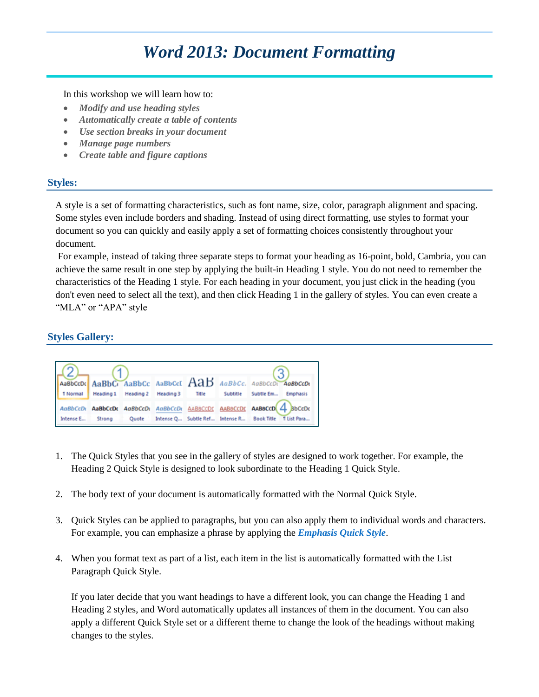# *Word 2013: Document Formatting*

In this workshop we will learn how to:

- *Modify and use heading styles*
- *Automatically create a table of contents*
- *Use section breaks in your document*
- *Manage page numbers*
- *Create table and figure captions*

#### <span id="page-0-0"></span>**Styles:**

A style is a set of formatting characteristics, such as font name, size, color, paragraph alignment and spacing. Some styles even include borders and shading. Instead of using direct formatting, use styles to format your document so you can quickly and easily apply a set of formatting choices consistently throughout your document.

For example, instead of taking three separate steps to format your heading as 16-point, bold, Cambria, you can achieve the same result in one step by applying the built-in Heading 1 style. You do not need to remember the characteristics of the Heading 1 style. For each heading in your document, you just click in the heading (you don't even need to select all the text), and then click Heading 1 in the gallery of styles. You can even create a "MLA" or "APA" style

## <span id="page-0-1"></span>**Styles Gallery:**



- 1. The Quick Styles that you see in the gallery of styles are designed to work together. For example, the Heading 2 Quick Style is designed to look subordinate to the Heading 1 Quick Style.
- 2. The body text of your document is automatically formatted with the Normal Quick Style.
- 3. Quick Styles can be applied to paragraphs, but you can also apply them to individual words and characters. For example, you can emphasize a phrase by applying the *Emphasis Quick Style*.
- 4. When you format text as part of a list, each item in the list is automatically formatted with the List Paragraph Quick Style.

If you later decide that you want headings to have a different look, you can change the Heading 1 and Heading 2 styles, and Word automatically updates all instances of them in the document. You can also apply a different Quick Style set or a different theme to change the look of the headings without making changes to the styles.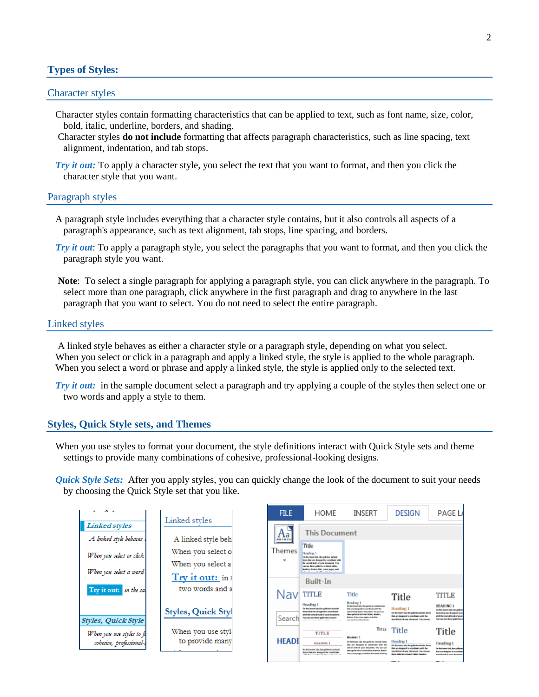#### <span id="page-1-0"></span>**Types of Styles:**

#### <span id="page-1-1"></span>Character styles

- Character styles contain formatting characteristics that can be applied to text, such as font name, size, color, bold, italic, underline, borders, and shading.
- Character styles **do not include** formatting that affects paragraph characteristics, such as line spacing, text alignment, indentation, and tab stops.
- *Try it out:* To apply a character style, you select the text that you want to format, and then you click the character style that you want.

#### <span id="page-1-2"></span>Paragraph styles

- A paragraph style includes everything that a character style contains, but it also controls all aspects of a paragraph's appearance, such as text alignment, tab stops, line spacing, and borders.
- *Try it out*: To apply a paragraph style, you select the paragraphs that you want to format, and then you click the paragraph style you want.

**Note**: To select a single paragraph for applying a paragraph style, you can click anywhere in the paragraph. To select more than one paragraph, click anywhere in the first paragraph and drag to anywhere in the last paragraph that you want to select. You do not need to select the entire paragraph.

#### <span id="page-1-3"></span>Linked styles

A linked style behaves as either a character style or a paragraph style, depending on what you select. When you select or click in a paragraph and apply a linked style, the style is applied to the whole paragraph. When you select a word or phrase and apply a linked style, the style is applied only to the selected text.

*Try it out:* in the sample document select a paragraph and try applying a couple of the styles then select one or two words and apply a style to them.

#### <span id="page-1-4"></span>**Styles, Quick Style sets, and Themes**

When you use styles to format your document, the style definitions interact with Quick Style sets and theme settings to provide many combinations of cohesive, professional-looking designs.

*Quick Style Sets:* After you apply styles, you can quickly change the look of the document to suit your needs by choosing the Quick Style set that you like.

| ਣਾ                        |                           | <b>FILE</b>                | HOME                                                                                                                                                                                    | INSERT                                                                                                                                                                                                                                                              | <b>DESIGN</b>                                                                                                                                                                         | PAGE LA                                                                                                                                                      |
|---------------------------|---------------------------|----------------------------|-----------------------------------------------------------------------------------------------------------------------------------------------------------------------------------------|---------------------------------------------------------------------------------------------------------------------------------------------------------------------------------------------------------------------------------------------------------------------|---------------------------------------------------------------------------------------------------------------------------------------------------------------------------------------|--------------------------------------------------------------------------------------------------------------------------------------------------------------|
| <b>Linked styles</b>      | Linked styles             | $\underline{\mathbf{A}}$ a | <b>This Document</b>                                                                                                                                                                    |                                                                                                                                                                                                                                                                     |                                                                                                                                                                                       |                                                                                                                                                              |
| A linked style behaves    | A linked style beh        |                            | Title                                                                                                                                                                                   |                                                                                                                                                                                                                                                                     |                                                                                                                                                                                       |                                                                                                                                                              |
| When you select or click  | When you select o         | Themes                     | Heading 1<br>timolar based talk, the calleries: include                                                                                                                                 |                                                                                                                                                                                                                                                                     |                                                                                                                                                                                       |                                                                                                                                                              |
| When you select a word    | When you select a         | $\overline{\phantom{a}}$   | icans that are designed to coordinate with<br>the counsel had of some domested. You<br>can not these policies to input tables.<br>leaders, Euters, Sals, cover pages, and<br>14 44 14 1 |                                                                                                                                                                                                                                                                     |                                                                                                                                                                                       |                                                                                                                                                              |
|                           | Try it out: int           |                            | <b>Built-In</b>                                                                                                                                                                         |                                                                                                                                                                                                                                                                     |                                                                                                                                                                                       |                                                                                                                                                              |
| Try it out: in the sai    | two words and a           | Nа                         | <b>TITLE</b>                                                                                                                                                                            | Title                                                                                                                                                                                                                                                               | Title                                                                                                                                                                                 | TITLE                                                                                                                                                        |
| Styles, Quick Style       | <b>Styles, Quick Styl</b> | <b>Searc</b>               | Heading 1<br>En the boart tab the galleries insteak-<br>itemuliusium designut to annulogin<br>with the course it look of your domested.<br>Four-up you thousand and mine in transit     | Hoad ing 1<br>by the bound (a), the galleries include/term<br>that was barried to concidentate the<br>nergitized aluss decumen. His cenus<br><b>Reve galleries britted briker, Newborn</b><br>kakan, Jinik, saaw saam, andalkar<br>the count including time to      | Heading 1<br>ile the import talk the polleries include items<br>that are designed to comfinate with the<br>recoffered of your discussed. The claimed                                  | <b>HEADING 1</b><br>En the board tab. He galleri<br>benefitation designed to a<br>attitut ha unura all insul of your<br>Francisco partitionar politiciana il |
| When you use styles to fo | When you use styl         |                            | <b>TITLE</b>                                                                                                                                                                            | TITLE                                                                                                                                                                                                                                                               | Title                                                                                                                                                                                 | Title                                                                                                                                                        |
| cohesive, professional-l  | to provide many           | <b>HEADI</b>               | <b>HEADING 1</b><br>Bo the house tail, the galleries include<br>items that are designed to constitute<br>and the company's bank of course the company                                   | HIABING 1<br>the the forcest right, the parties last include theme.<br>Ast are designed to constitute with the<br>perall but of your decument. Tou can use<br>fession and control to the control of the con-<br>light, a stear yearges, and other document building | Heading 1<br>in the least tab for painterinately form<br>that are designed to coordinate with the<br>pendicul d'une dourent financiere<br>these publicity resistant rabbes. Searkers, | Heading 1<br>De Martingert talk the galleries<br><b>Rati are designed to constitut</b><br>and interesting the contract of the contract of                    |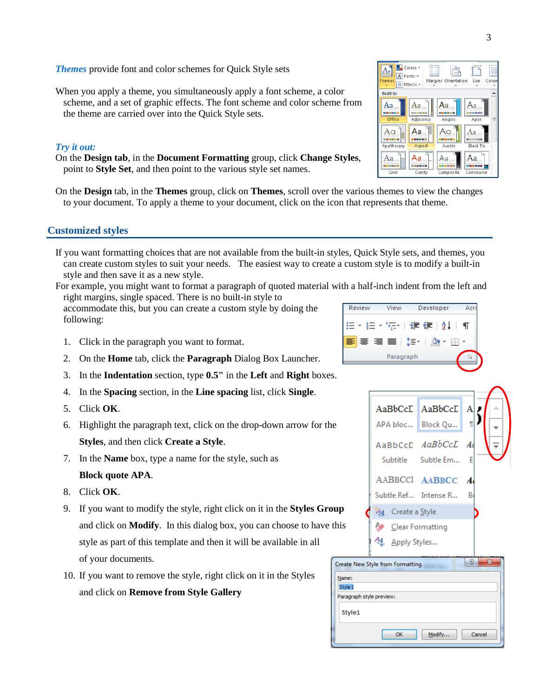*Themes* provide font and color schemes for Quick Style sets

When you apply a theme, you simultaneously apply a font scheme, a color scheme, and a set of graphic effects. The font scheme and color scheme from the theme are carried over into the Quick Style sets.

#### *Try it out:*

On the **Design tab**, in the **Document Formatting** group, click **Change Styles**, point to **Style Set**, and then point to the various style set names.

On the **Design** tab, in the **Themes** group, click on **Themes**, scroll over the various to your document. To apply a theme to your document, click on the icon that rep

#### <span id="page-2-0"></span>**Customized styles**

- If you want formatting choices that are not available from the built-in styles, Quick Style sets, and themes, you can create custom styles to suit your needs. The easiest way to create a custom style is to modify a built-in style and then save it as a new style.
- For example, you might want to format a paragraph of quoted material with a half-inch indent from the left and right margins, single spaced. There is no built-in style to

accommodate this, but you can create a custom style by doing the following:

- 1. Click in the paragraph you want to format.
- 2. On the **Home** tab, click the **Paragraph** Dialog Box Launcher.
- 3. In the **Indentation** section, type **0.5"** in the **Left** and **Right** boxes.
- 4. In the **Spacing** section, in the **Line spacing** list, click **Single**.
- 5. Click **OK**.
- 6. Highlight the paragraph text, click on the drop-down arrow for the **Styles**, and then click **Create a Style**.
- 7. In the **Name** box, type a name for the style, such as **Block quote APA**.
- 8. Click **OK**.
- 9. If you want to modify the style, right click on it in the **Styles Group** and click on **Modify**. In this dialog box, you can choose to have this style as part of this template and then it will be available in all of your documents.
- 10. If you want to remove the style, right click on it in the Styles and click on **Remove from Style Gallery**

# AaBbCcD AaBbCcL Subtle Em... Subtitle AABBCCl AABBCC Subtle Ref... Intense R... 24 Create a Style **Clear Formatting** Apply Styles..

AaBbCcE

Block Qu...

Α

| P<br>53<br>Create New Style from Formatting |
|---------------------------------------------|
| Name:                                       |
| Style 1                                     |
| Paragraph style preview:                    |
| Style1                                      |
| Modify<br>Cancel<br>OK                      |





 $A$ a $BbCcD$ 

APA bloc...

| ١а<br>١a<br>Civic<br>Clarity<br>Composite<br>Concourse |  |  |  |  |
|--------------------------------------------------------|--|--|--|--|
|                                                        |  |  |  |  |
| s themes to view the changes                           |  |  |  |  |
| presents that theme.                                   |  |  |  |  |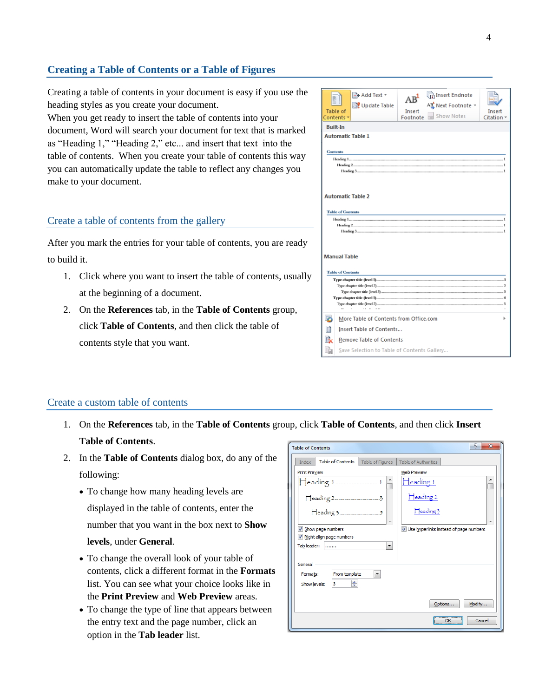#### <span id="page-3-0"></span>**Creating a Table of Contents or a Table of Figures**

Creating a table of contents in your document is easy if you use the heading styles as you create your document.

When you get ready to insert the table of contents into your document, Word will search your document for text that is marked as "Heading 1," "Heading 2," etc... and insert that text into the table of contents. When you create your table of contents this way you can automatically update the table to reflect any changes you make to your document.

#### <span id="page-3-1"></span>Create a table of contents from the gallery

After you mark the entries for your table of contents, you are ready to build it.

- 1. Click where you want to insert the table of contents, usually at the beginning of a document.
- 2. On the **References** tab, in the **Table of Contents** group, click **Table of Contents**, and then click the table of contents style that you want.

| <b>Built-In</b> | ि Add Text ™<br>Update Table<br>Table of<br>Contents <b>*</b> | <b>The Insert Endnote</b><br>AR<br>AB Next Footnote ▼<br>Insert<br>Insert<br><b>Show Notes</b><br>Footnote<br>Citation: |  |  |  |
|-----------------|---------------------------------------------------------------|-------------------------------------------------------------------------------------------------------------------------|--|--|--|
|                 | <b>Automatic Table 1</b>                                      |                                                                                                                         |  |  |  |
|                 |                                                               |                                                                                                                         |  |  |  |
| <b>Contents</b> |                                                               |                                                                                                                         |  |  |  |
|                 |                                                               |                                                                                                                         |  |  |  |
|                 |                                                               |                                                                                                                         |  |  |  |
|                 |                                                               |                                                                                                                         |  |  |  |
|                 |                                                               |                                                                                                                         |  |  |  |
|                 | <b>Automatic Table 2</b>                                      |                                                                                                                         |  |  |  |
|                 |                                                               |                                                                                                                         |  |  |  |
|                 | <b>Table of Contents</b>                                      |                                                                                                                         |  |  |  |
|                 |                                                               |                                                                                                                         |  |  |  |
|                 |                                                               |                                                                                                                         |  |  |  |
|                 |                                                               |                                                                                                                         |  |  |  |
|                 |                                                               |                                                                                                                         |  |  |  |
|                 | <b>Manual Table</b>                                           |                                                                                                                         |  |  |  |
|                 |                                                               |                                                                                                                         |  |  |  |
|                 | <b>Table of Contents</b>                                      |                                                                                                                         |  |  |  |
|                 | 1                                                             |                                                                                                                         |  |  |  |
| 3               |                                                               |                                                                                                                         |  |  |  |
|                 |                                                               |                                                                                                                         |  |  |  |
|                 | $\cdots$                                                      |                                                                                                                         |  |  |  |
| G               | More Table of Contents from Office.com                        | ь                                                                                                                       |  |  |  |
| Hì              | Insert Table of Contents                                      |                                                                                                                         |  |  |  |
| R               | <b>Remove Table of Contents</b>                               |                                                                                                                         |  |  |  |
|                 | Save Selection to Table of Contents Gallery                   |                                                                                                                         |  |  |  |

#### <span id="page-3-2"></span>Create a custom table of contents

- 1. On the **References** tab, in the **Table of Contents** group, click **Table of Contents**, and then click **Insert Table of Contents**.
- 2. In the **Table of Contents** dialog box, do any of the following:
	- To change how many heading levels are displayed in the table of contents, enter the number that you want in the box next to **Show levels**, under **General**.
	- To change the overall look of your table of contents, click a different format in the **Formats** list. You can see what your choice looks like in the **Print Preview** and **Web Preview** areas.
	- To change the type of line that appears between the entry text and the page number, click an option in the **Tab leader** list.

| <b>Table of Contents</b>                                       |                  | P<br>$\mathbf{x}$                        |
|----------------------------------------------------------------|------------------|------------------------------------------|
| Table of Contents<br>Index                                     | Table of Figures | <b>Table of Authorities</b>              |
| <b>Print Preview</b>                                           |                  | <b>Web Preview</b>                       |
|                                                                |                  | $\sqcap$ eading 1                        |
|                                                                |                  | $\Box$ eading 2                          |
|                                                                |                  | $H$ eading 3                             |
| Show page numbers                                              |                  | V Use hyperlinks instead of page numbers |
| V Right align page numbers                                     |                  |                                          |
| Tab leader:                                                    | ▼                |                                          |
| General<br>From template<br>Formats:<br>÷<br>з<br>Show levels: | ▼                |                                          |
|                                                                |                  | Modify<br>Options                        |
|                                                                |                  | Cancel<br>ОК                             |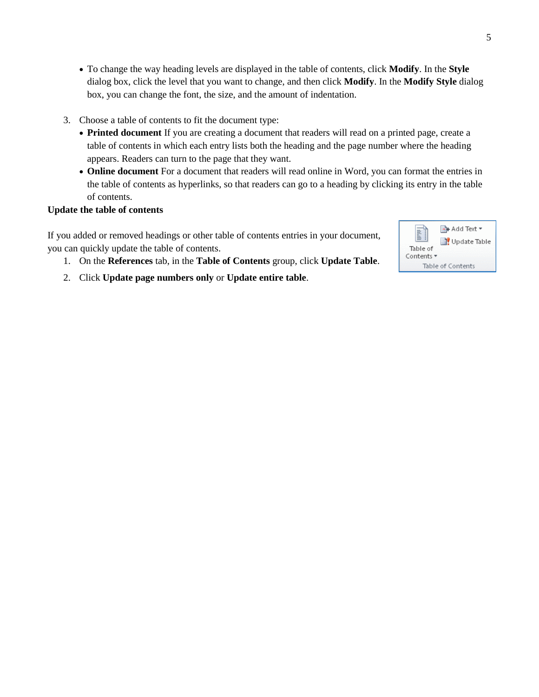- To change the way heading levels are displayed in the table of contents, click **Modify**. In the **Style** dialog box, click the level that you want to change, and then click **Modify**. In the **Modify Style** dialog box, you can change the font, the size, and the amount of indentation.
- 3. Choose a table of contents to fit the document type:
	- **Printed document** If you are creating a document that readers will read on a printed page, create a table of contents in which each entry lists both the heading and the page number where the heading appears. Readers can turn to the page that they want.
	- **Online document** For a document that readers will read online in Word, you can format the entries in the table of contents as hyperlinks, so that readers can go to a heading by clicking its entry in the table of contents.

#### **Update the table of contents**

If you added or removed headings or other table of contents entries in your document, you can quickly update the table of contents.

- 1. On the **References** tab, in the **Table of Contents** group, click **Update Table**.
- 2. Click **Update page numbers only** or **Update entire table**.

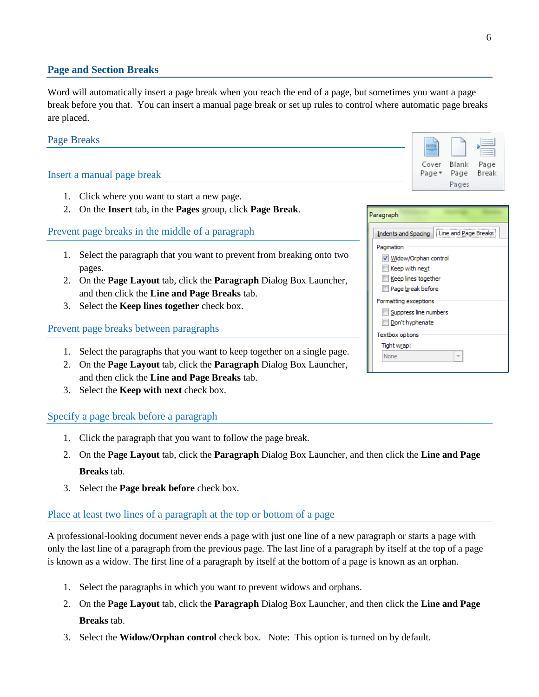#### <span id="page-5-0"></span>**Page and Section Breaks**

Word will automatically insert a page break when you reach the end of a page, but sometimes you want a page break before you that. You can insert a manual page break or set up rules to control where automatic page breaks are placed.

#### <span id="page-5-1"></span>Page Breaks

#### <span id="page-5-2"></span>Insert a manual page break

- 1. Click where you want to start a new page.
- 2. On the **Insert** tab, in the **Pages** group, click **Page Break**.

#### <span id="page-5-3"></span>Prevent page breaks in the middle of a paragraph

- 1. Select the paragraph that you want to prevent from breaking onto two pages.
- 2. On the **Page Layout** tab, click the **Paragraph** Dialog Box Launcher, and then click the **Line and Page Breaks** tab.
- 3. Select the **Keep lines together** check box.

#### <span id="page-5-4"></span>Prevent page breaks between paragraphs

- 1. Select the paragraphs that you want to keep together on a single page.
- 2. On the **Page Layout** tab, click the **Paragraph** Dialog Box Launcher, and then click the **Line and Page Breaks** tab.
- 3. Select the **Keep with next** check box.

#### <span id="page-5-5"></span>Specify a page break before a paragraph

- 1. Click the paragraph that you want to follow the page break.
- 2. On the **Page Layout** tab, click the **Paragraph** Dialog Box Launcher, and then click the **Line and Page Breaks** tab.
- 3. Select the **Page break before** check box.

#### <span id="page-5-6"></span>Place at least two lines of a paragraph at the top or bottom of a page

A professional-looking document never ends a page with just one line of a new paragraph or starts a page with only the last line of a paragraph from the previous page. The last line of a paragraph by itself at the top of a page is known as a widow. The first line of a paragraph by itself at the bottom of a page is known as an orphan.

- 1. Select the paragraphs in which you want to prevent widows and orphans.
- 2. On the **Page Layout** tab, click the **Paragraph** Dialog Box Launcher, and then click the **Line and Page Breaks** tab.
- 3. Select the **Widow/Orphan control** check box. Note: This option is turned on by default.

| <sup>)</sup> aragraph                      |  |  |
|--------------------------------------------|--|--|
| Indents and Spacing   Line and Page Breaks |  |  |
| Pagination                                 |  |  |
| V Widow/Orphan control                     |  |  |
| Keep with next                             |  |  |
| Keep lines together                        |  |  |
| <b>Net also entity Page break</b> before   |  |  |
| Formatting exceptions                      |  |  |
| Suppress line numbers                      |  |  |
| Don't hyphenate                            |  |  |
| Textbox options                            |  |  |
| Tight wrap:                                |  |  |
| None                                       |  |  |
|                                            |  |  |

Cover

Page -

Blank

Page

Pages

Page

Break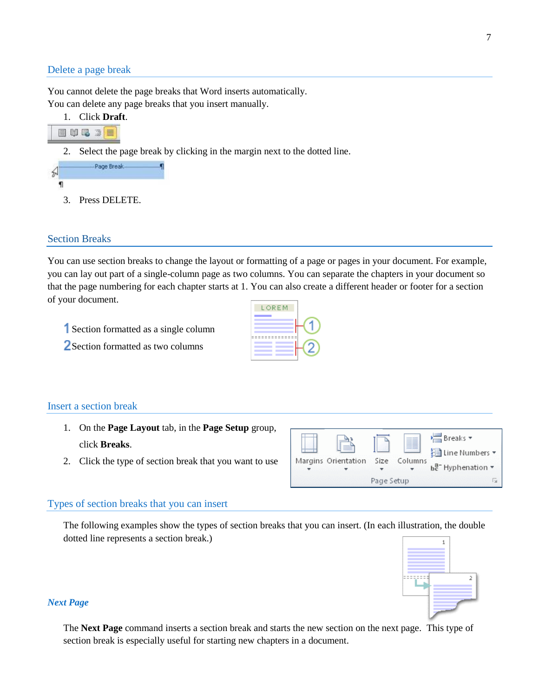#### <span id="page-6-0"></span>Delete a page break

You cannot delete the page breaks that Word inserts automatically. You can delete any page breaks that you insert manually.

- 1. Click **Draft**.
- 目的马车目
- 2. Select the page break by clicking in the margin next to the dotted line.



#### <span id="page-6-1"></span>Section Breaks

You can use section breaks to change the layout or formatting of a page or pages in your document. For example, you can lay out part of a single-column page as two columns. You can separate the chapters in your document so that the page numbering for each chapter starts at 1. You can also create a different header or footer for a section of your document.

Section formatted as a single column

2 Section formatted as two columns



#### <span id="page-6-2"></span>Insert a section break

- 1. On the **Page Layout** tab, in the **Page Setup** group, click **Breaks**.
- 2. Click the type of section break that you want to use

| Margins Orientation Size Columns |            | Breaks *<br>≹ि Line Numbers ▼<br>$b_c^a$ Hyphenation $\sim$ |
|----------------------------------|------------|-------------------------------------------------------------|
|                                  | Page Setup | 1 M                                                         |

#### <span id="page-6-3"></span>Types of section breaks that you can insert

The following examples show the types of section breaks that you can insert. (In each illustration, the double dotted line represents a section break.)



#### *Next Page*

The **Next Page** command inserts a section break and starts the new section on the next page. This type of section break is especially useful for starting new chapters in a document.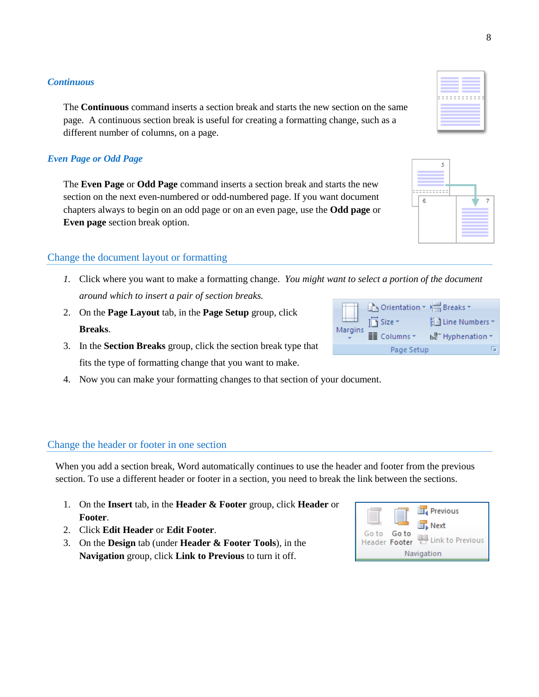#### *Continuous*

The **Continuous** command inserts a section break and starts the new section on the same page. A continuous section break is useful for creating a formatting change, such as a different number of columns, on a page.

#### *Even Page or Odd Page*

The **Even Page** or **Odd Page** command inserts a section break and starts the new section on the next even-numbered or odd-numbered page. If you want document chapters always to begin on an odd page or on an even page, use the **Odd page** or **Even page** section break option.

#### <span id="page-7-0"></span>Change the document layout or formatting

- *1.* Click where you want to make a formatting change. *You might want to select a portion of the document around which to insert a pair of section breaks.*
- 2. On the **Page Layout** tab, in the **Page Setup** group, click **Breaks**.
- 3. In the **Section Breaks** group, click the section break type that fits the type of formatting change that you want to make.
- 4. Now you can make your formatting changes to that section of your document.

#### <span id="page-7-1"></span>Change the header or footer in one section

When you add a section break, Word automatically continues to use the header and footer from the previous section. To use a different header or footer in a section, you need to break the link between the sections.

- 1. On the **Insert** tab, in the **Header & Footer** group, click **Header** or **Footer**.
- 2. Click **Edit Header** or **Edit Footer**.
- 3. On the **Design** tab (under **Header & Footer Tools**), in the **Navigation** group, click **Link to Previous** to turn it off.



|         | ■ Orientation ▼ Breaks ▼ |                               |
|---------|--------------------------|-------------------------------|
|         | $\sqrt{ }$ Size $\tau$   | ई ∃ Line Numbers ▼            |
| Margins | <b>EE</b> Columns ▼      | $b_c^{a-}$ Hyphenation $\tau$ |
|         | Page Setup               |                               |

| 5                               |  |
|---------------------------------|--|
| -----------<br>-----------<br>6 |  |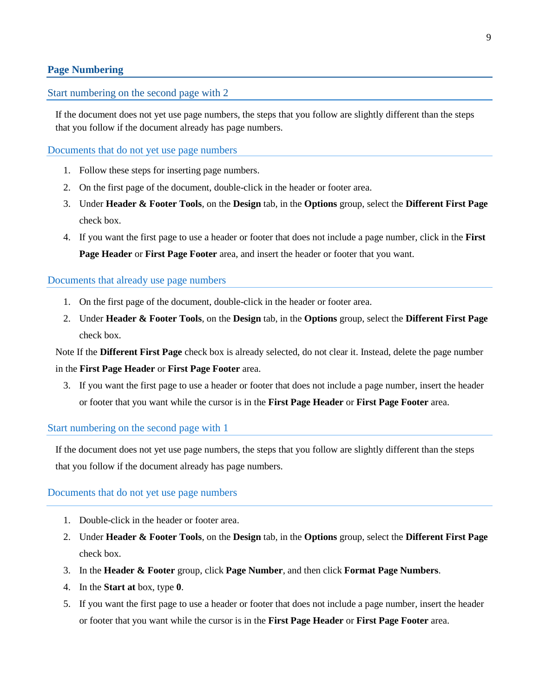#### <span id="page-8-0"></span>**Page Numbering**

#### <span id="page-8-1"></span>Start numbering on the second page with 2

If the document does not yet use page numbers, the steps that you follow are slightly different than the steps that you follow if the document already has page numbers.

<span id="page-8-2"></span>Documents that do not yet use page numbers

- 1. Follow these steps for inserting page numbers.
- 2. On the first page of the document, double-click in the header or footer area.
- 3. Under **Header & Footer Tools**, on the **Design** tab, in the **Options** group, select the **Different First Page** check box.
- 4. If you want the first page to use a header or footer that does not include a page number, click in the **First Page Header** or **First Page Footer** area, and insert the header or footer that you want.

#### <span id="page-8-3"></span>Documents that already use page numbers

- 1. On the first page of the document, double-click in the header or footer area.
- 2. Under **Header & Footer Tools**, on the **Design** tab, in the **Options** group, select the **Different First Page** check box.

Note If the **Different First Page** check box is already selected, do not clear it. Instead, delete the page number in the **First Page Header** or **First Page Footer** area.

3. If you want the first page to use a header or footer that does not include a page number, insert the header or footer that you want while the cursor is in the **First Page Header** or **First Page Footer** area.

<span id="page-8-4"></span>Start numbering on the second page with 1

If the document does not yet use page numbers, the steps that you follow are slightly different than the steps that you follow if the document already has page numbers.

#### <span id="page-8-5"></span>Documents that do not yet use page numbers

- 1. Double-click in the header or footer area.
- 2. Under **Header & Footer Tools**, on the **Design** tab, in the **Options** group, select the **Different First Page** check box.
- 3. In the **Header & Footer** group, click **Page Number**, and then click **Format Page Numbers**.
- 4. In the **Start at** box, type **0**.
- 5. If you want the first page to use a header or footer that does not include a page number, insert the header or footer that you want while the cursor is in the **First Page Header** or **First Page Footer** area.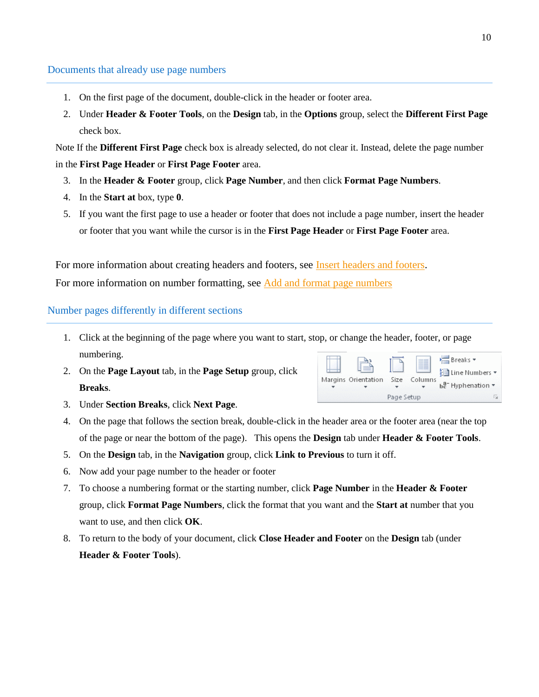#### <span id="page-9-0"></span>Documents that already use page numbers

- 1. On the first page of the document, double-click in the header or footer area.
- 2. Under **Header & Footer Tools**, on the **Design** tab, in the **Options** group, select the **Different First Page** check box.

Note If the **Different First Page** check box is already selected, do not clear it. Instead, delete the page number in the **First Page Header** or **First Page Footer** area.

- 3. In the **Header & Footer** group, click **Page Number**, and then click **Format Page Numbers**.
- 4. In the **Start at** box, type **0**.
- 5. If you want the first page to use a header or footer that does not include a page number, insert the header or footer that you want while the cursor is in the **First Page Header** or **First Page Footer** area.

For more information about creating headers and footers, see [Insert headers and footers.](http://office.microsoft.com/en-us/word-help/redir/HP001226486.aspx?CTT=5&origin=HP001226513)

For more information on number formatting, see [Add and format page numbers](http://office.microsoft.com/en-us/word-help/add-and-format-page-numbers-HP001226513.aspx#BM4)

#### <span id="page-9-1"></span>Number pages differently in different sections

- 1. Click at the beginning of the page where you want to start, stop, or change the header, footer, or page numbering.
- 2. On the **Page Layout** tab, in the **Page Setup** group, click **Breaks**.

|  | Margins Orientation Size |            | Columns | PS Breaks ▼<br>≹ Line Numbers ▼<br>$b_c^a$ Hyphenation $\sim$ |
|--|--------------------------|------------|---------|---------------------------------------------------------------|
|  |                          | Page Setup |         |                                                               |

- 3. Under **Section Breaks**, click **Next Page**.
- 4. On the page that follows the section break, double-click in the header area or the footer area (near the top of the page or near the bottom of the page). This opens the **Design** tab under **Header & Footer Tools**.
- 5. On the **Design** tab, in the **Navigation** group, click **Link to Previous** to turn it off.
- 6. Now add your page number to the header or footer
- 7. To choose a numbering format or the starting number, click **Page Number** in the **Header & Footer** group, click **Format Page Numbers**, click the format that you want and the **Start at** number that you want to use, and then click **OK**.
- 8. To return to the body of your document, click **Close Header and Footer** on the **Design** tab (under **Header & Footer Tools**).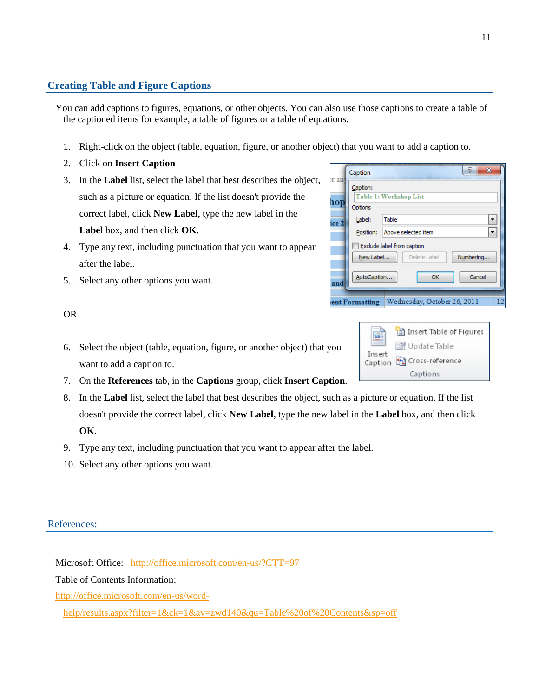### <span id="page-10-0"></span>**Creating Table and Figure Captions**

You can add captions to figures, equations, or other objects. You can also use those captions to create a table of the captioned items for example, a table of figures or a table of equations.

1. Right-click on the object (table, equation, figure, or another object) that you want to add a caption to.

 $\sqrt{ }$ 

- 2. Click on **Insert Caption**
- 3. In the **Label** list, select the label that best describes the object, such as a picture or equation. If the list doesn't provide the correct label, click **New Label**, type the new label in the

**Label** box, and then click **OK**.

- 4. Type any text, including punctuation that you want to appear after the label.
- 5. Select any other options you want.

OR

- 6. Select the object (table, equation, figure, or another object) that you want to add a caption to.
- 7. On the **References** tab, in the **Captions** group, click **Insert Caption**.
- 8. In the **Label** list, select the label that best describes the object, such as a picture or equation. If the list doesn't provide the correct label, click **New Label**, type the new label in the **Label** box, and then click **OK**.
- 9. Type any text, including punctuation that you want to appear after the label.
- 10. Select any other options you want.

#### <span id="page-10-1"></span>References:

Microsoft Office: <http://office.microsoft.com/en-us/?CTT=97>

Table of Contents Information:

[http://office.microsoft.com/en-us/word-](http://office.microsoft.com/en-us/word-help/results.aspx?filter=1&ck=1&av=zwd140&qu=Table%20of%20Contents&sp=off)

[help/results.aspx?filter=1&ck=1&av=zwd140&qu=Table%20of%20Contents&sp=off](http://office.microsoft.com/en-us/word-help/results.aspx?filter=1&ck=1&av=zwd140&qu=Table%20of%20Contents&sp=off)

| an             | Caption                | سمسا                              |  |  |  |
|----------------|------------------------|-----------------------------------|--|--|--|
|                | Caption:               |                                   |  |  |  |
|                | Table 1: Workshop List |                                   |  |  |  |
| op             | Options                |                                   |  |  |  |
| e <sub>2</sub> | Label:                 | Table                             |  |  |  |
|                | Position:              | Above selected item               |  |  |  |
|                |                        | Exclude label from caption        |  |  |  |
|                | New Label              | Numbering<br>Delete Label         |  |  |  |
| nd             | AutoCaption            | Cancel<br>OK                      |  |  |  |
|                | nt Formatting          | Wednesday, October 26, 2011<br>12 |  |  |  |
|                |                        |                                   |  |  |  |

|        | Insert Table of Figures     |
|--------|-----------------------------|
|        | <b>目</b> , Update Table     |
| Insert | Caption [1] Cross-reference |
|        | Captions                    |

 $\sqrt{2}$